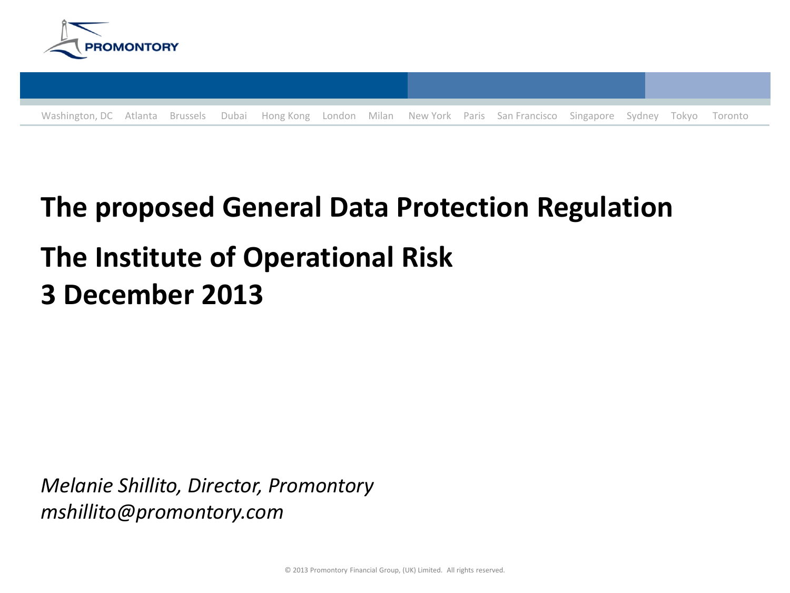



# **The proposed General Data Protection Regulation The Institute of Operational Risk 3\$December\$2013\$**

*Melanie Shillito, Director, Promontory mshillito@promontory.com*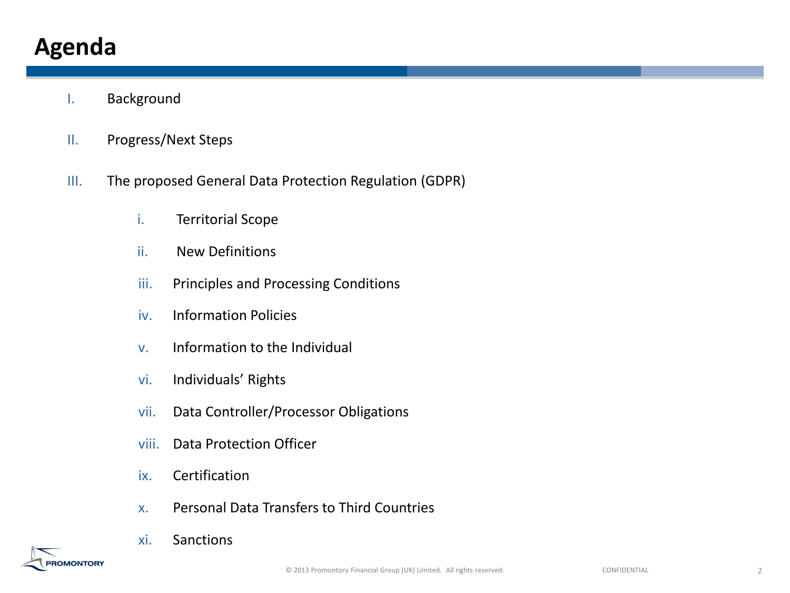# **Agenda**

**OMONTORY** 

- I. Background
- II. Progress/Next Steps
- III. The proposed General Data Protection Regulation (GDPR)
	- i. Territorial Scope
	- ii. New Definitions
	- iii. Principles and Processing Conditions
	- iv. Information Policies
	- v. Information to the Individual
	- vi. Individuals' Rights
	- vii. Data Controller/Processor Obligations
	- viii. Data Protection Officer
	- ix. Certification
	- x. Personal Data Transfers to Third Countries
	- xi. Sanctions

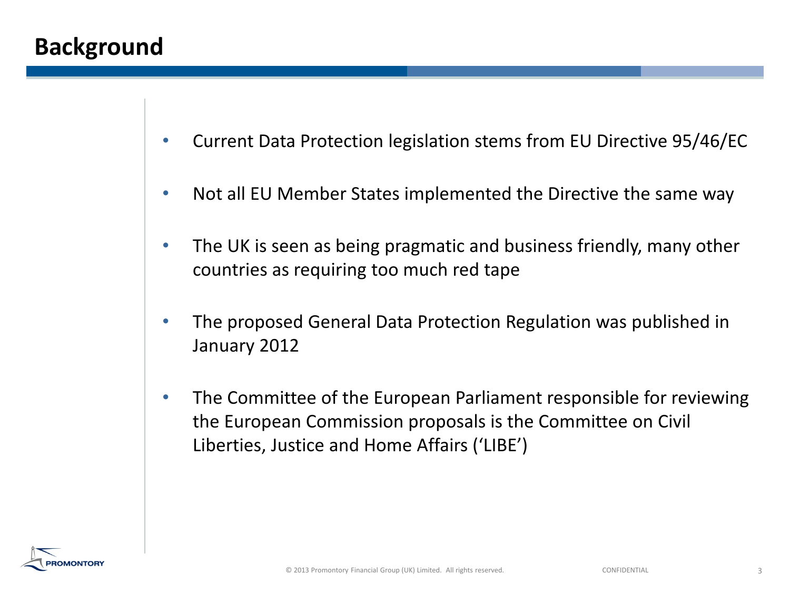## **Background**

- Current Data Protection legislation stems from EU Directive 95/46/EC
- Not all EU Member States implemented the Directive the same way
- The UK is seen as being pragmatic and business friendly, many other countries as requiring too much red tape
- The proposed General Data Protection Regulation was published in January 2012
- The Committee of the European Parliament responsible for reviewing the European Commission proposals is the Committee on Civil Liberties, Justice and Home Affairs ('LIBE')

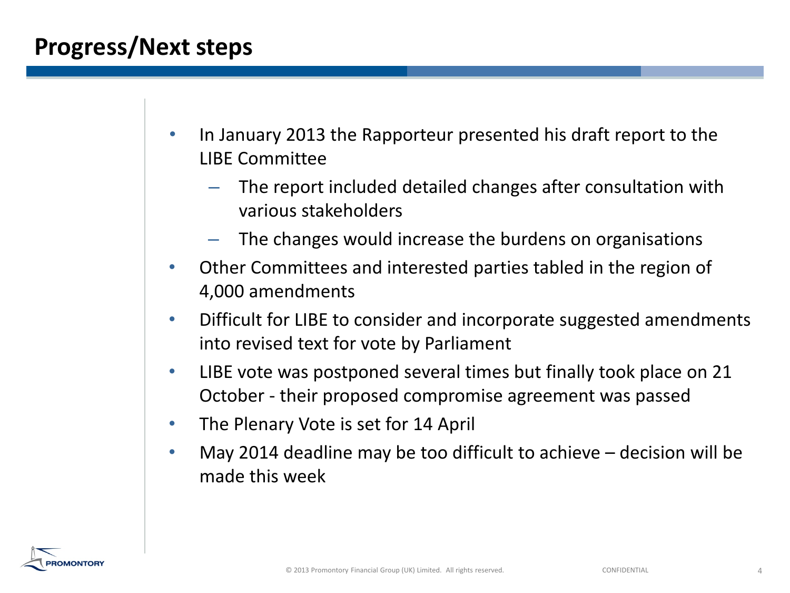# **Progress/Next steps**

- In January 2013 the Rapporteur presented his draft report to the **LIBE Committee** 
	- The report included detailed changes after consultation with various stakeholders
	- The changes would increase the burdens on organisations
- Other Committees and interested parties tabled in the region of 4,000 amendments
- Difficult for LIBE to consider and incorporate suggested amendments into revised text for vote by Parliament
- LIBE vote was postponed several times but finally took place on 21 October - their proposed compromise agreement was passed
- The Plenary Vote is set for 14 April
- May 2014 deadline may be too difficult to achieve  $-$  decision will be made this week

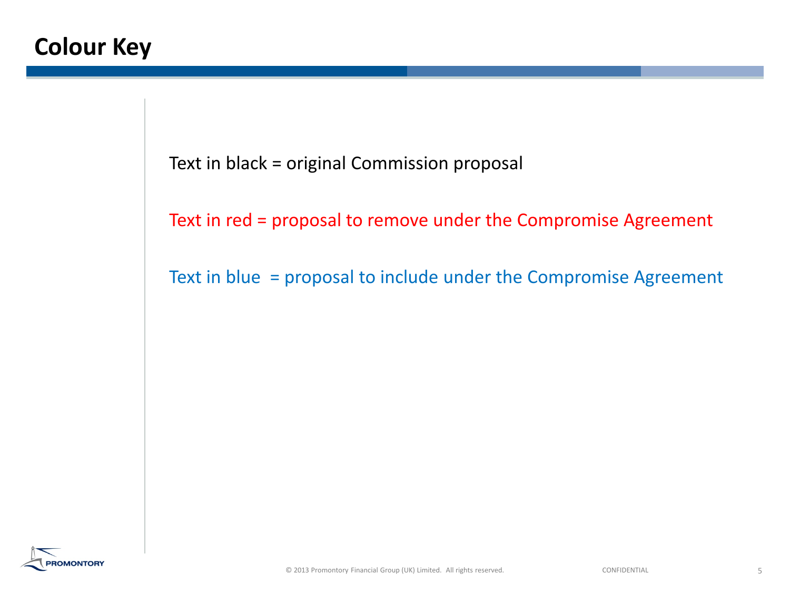Text in black = original Commission proposal

Text in red = proposal to remove under the Compromise Agreement

Text in blue" = proposal to include under the Compromise Agreement

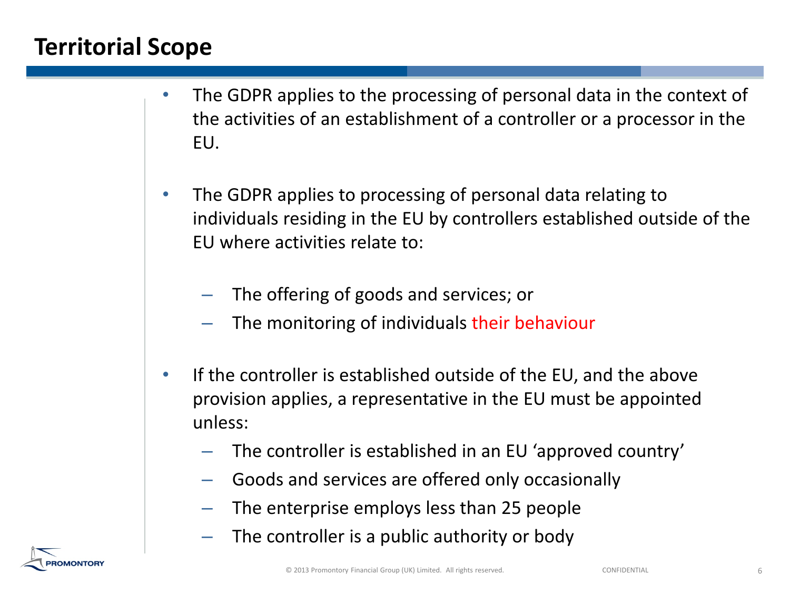# **Territorial Scope**

**OMONTORY** 

- The GDPR applies to the processing of personal data in the context of the activities of an establishment of a controller or a processor in the EU.
- The GDPR applies to processing of personal data relating to individuals residing in the EU by controllers established outside of the EU where activities relate to:
	- The offering of goods and services; or
	- The monitoring of individuals their behaviour
- If the controller is established outside of the EU, and the above provision applies, a representative in the EU must be appointed unless:
	- The controller is established in an EU 'approved country'
	- Goods and services are offered only occasionally
	- The enterprise employs less than 25 people
	- The controller is a public authority or body

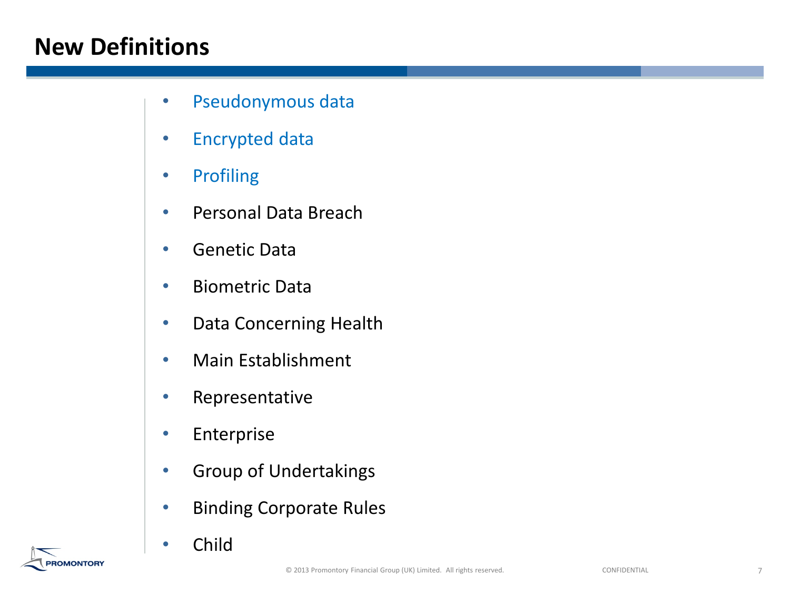# **New Definitions**

- Pseudonymous data
- Encrypted data
- Profiling
- Personal Data Breach
- Genetic Data
- Biometric Data
- Data Concerning Health
- Main Establishment
- Representative
- Enterprise
- Group of Undertakings
- Binding Corporate Rules
- Child

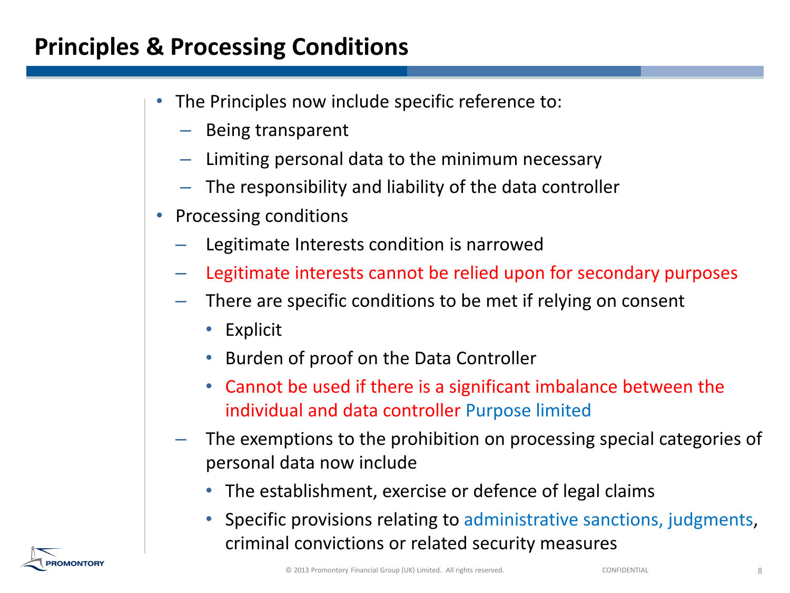## **Principles & Processing Conditions**

- The Principles now include specific reference to:
	- $-$  Being transparent
	- $-$  Limiting personal data to the minimum necessary
	- $-$  The responsibility and liability of the data controller
- Processing conditions
	- Legitimate Interests condition is narrowed
	- Legitimate interests cannot be relied upon for secondary purposes
	- There are specific conditions to be met if relying on consent
		- Explicit
		- Burden of proof on the Data Controller
		- Cannot be used if there is a significant imbalance between the individual and data controller Purpose limited
	- The exemptions to the prohibition on processing special categories of personal data now include
		- The establishment, exercise or defence of legal claims
		- Specific provisions relating to administrative sanctions, judgments, criminal convictions or related security measures

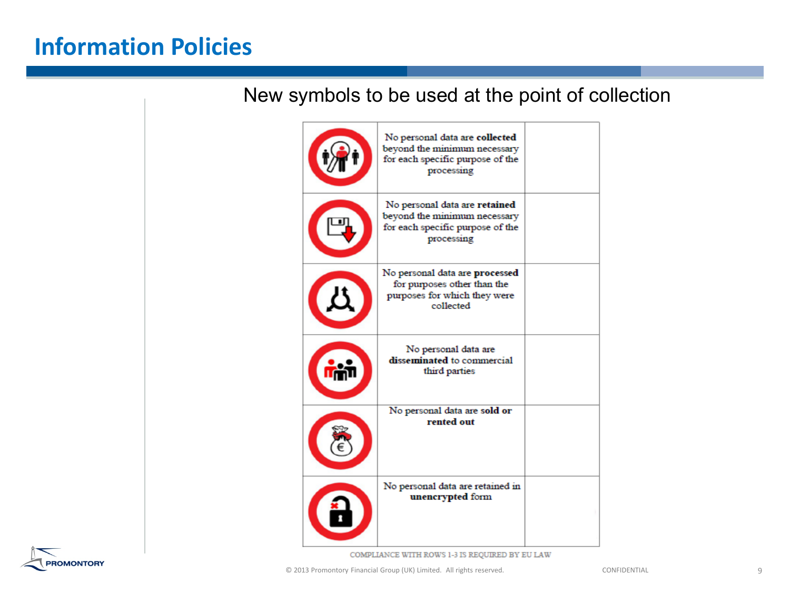## **Information\$Policies**

#### New symbols to be used at the point of collection



COMPLIANCE WITH ROWS 1-3 IS REQUIRED BY EU LAW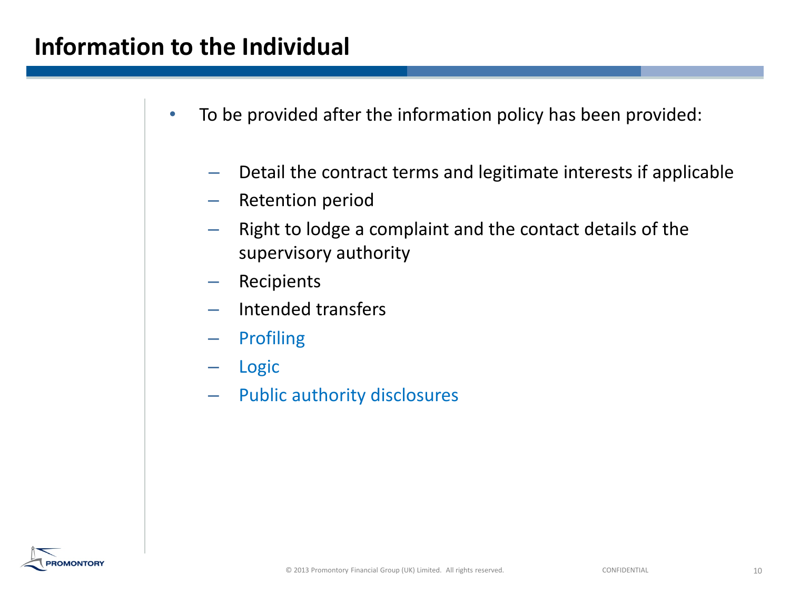#### **Information to the Individual**

- To be provided after the information policy has been provided:
	- Detail the contract terms and legitimate interests if applicable
	- Retention period
	- $-$  Right to lodge a complaint and the contact details of the supervisory authority
	- **Recipients**
	- Intended transfers
	- **Profiling**
	- **Logic**
	- $-$  Public authority disclosures

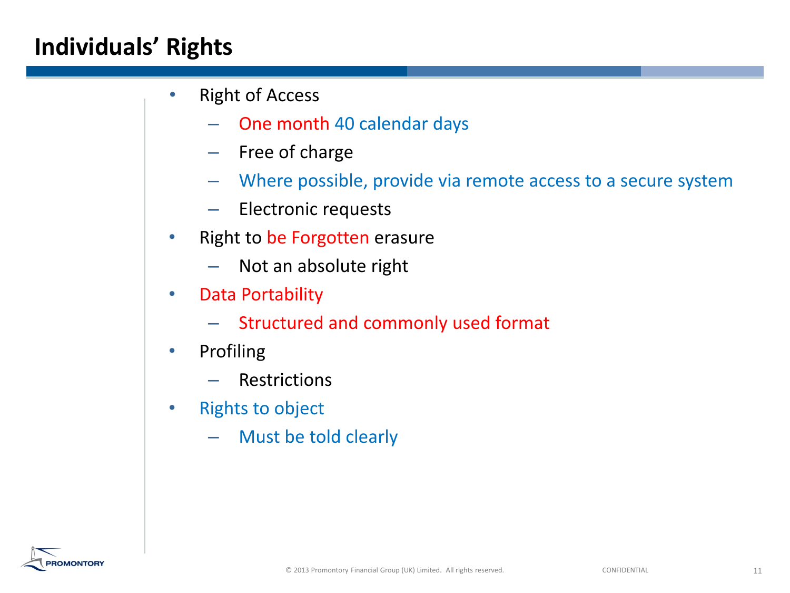# **Individuals' Rights**

- **Right of Access** 
	- One month 40 calendar days
	- Free of charge
	- Where possible, provide via remote access to a secure system
	- Electronic requests
- Right to be Forgotten erasure
	- $-$  Not an absolute right
- **Data Portability** 
	- $-$  Structured and commonly used format
- **Profiling** 
	- **Restrictions**
- **Rights to object** 
	- Must be told clearly

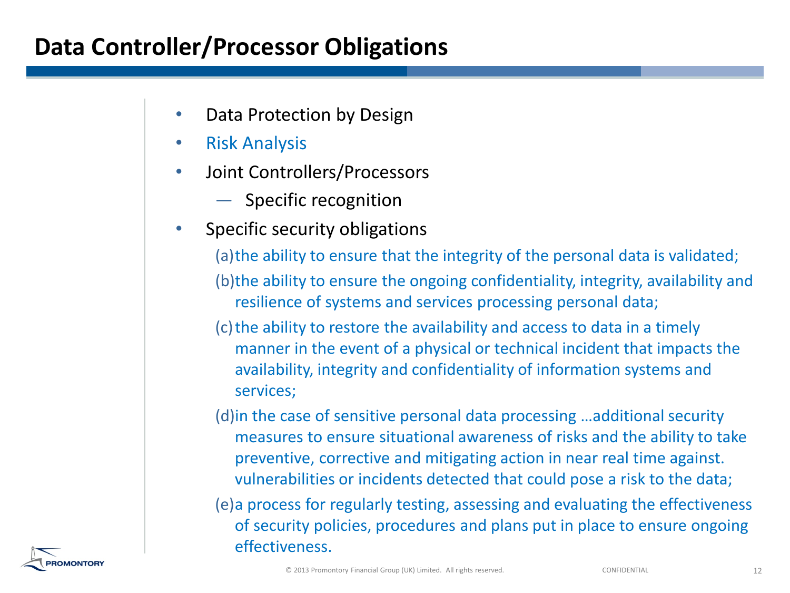## **Data Controller/Processor Obligations**

- Data Protection by Design
- **Risk Analysis**
- Joint Controllers/Processors
	- $-$  Specific recognition
- Specific security obligations

(a) the ability to ensure that the integrity of the personal data is validated; (b) the ability to ensure the ongoing confidentiality, integrity, availability and resilience of systems and services processing personal data;

- (c) the ability to restore the availability and access to data in a timely manner in the event of a physical or technical incident that impacts the availability, integrity and confidentiality of information systems and services;
- (d) in the case of sensitive personal data processing …additional security measures to ensure situational awareness of risks and the ability to take preventive, corrective and mitigating action in near real time against. vulnerabilities or incidents detected that could pose a risk to the data;
- (e)a process for regularly testing, assessing and evaluating the effectiveness of security policies, procedures and plans put in place to ensure ongoing effectiveness.

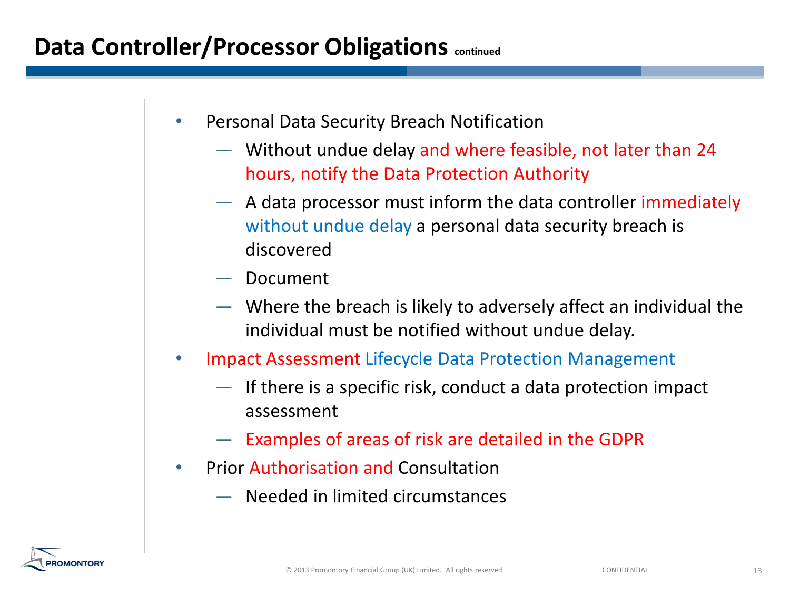- Personal Data Security Breach Notification
	- $-$  Without undue delay and where feasible, not later than 24 hours, notify the Data Protection Authority
	- $-$  A data processor must inform the data controller immediately without undue delay a personal data security breach is discovered
	- Document
	- Where the breach is likely to adversely affect an individual the individual must be notified without undue delay.
- Impact Assessment Lifecycle Data Protection Management
	- If there is a specific risk, conduct a data protection impact assessment
	- Examples of areas of risk are detailed in the GDPR
- Prior Authorisation and Consultation
	- $-$  Needed in limited circumstances

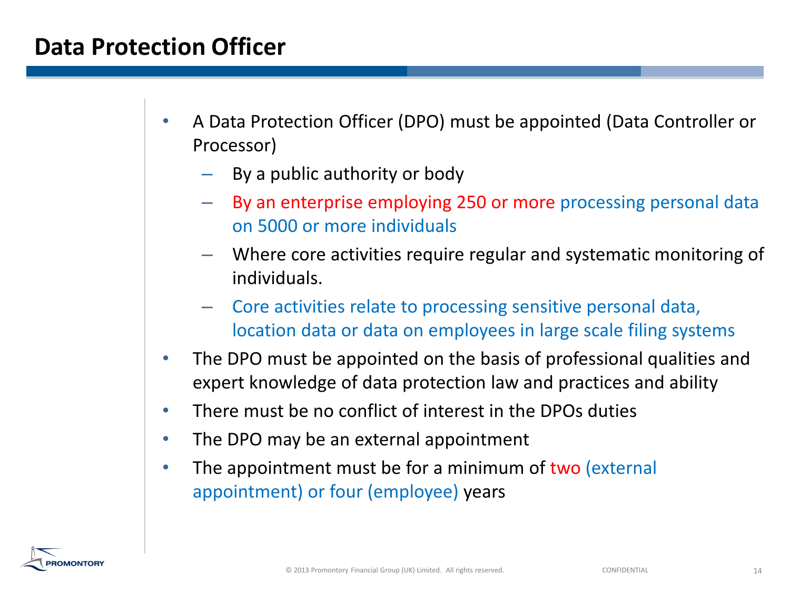## **Data Protection Officer**

- A Data Protection Officer (DPO) must be appointed (Data Controller or Processor)
	- By a public authority or body
	- By an enterprise employing 250 or more processing personal data on"5000"or"more"individuals
	- Where core activities require regular and systematic monitoring of individuals.
	- Core activities relate to processing sensitive personal data, location data or data on employees in large scale filing systems
- The DPO must be appointed on the basis of professional qualities and expert knowledge of data protection law and practices and ability
- There must be no conflict of interest in the DPOs duties
- The DPO may be an external appointment
- The appointment must be for a minimum of two (external appointment) or four (employee) years

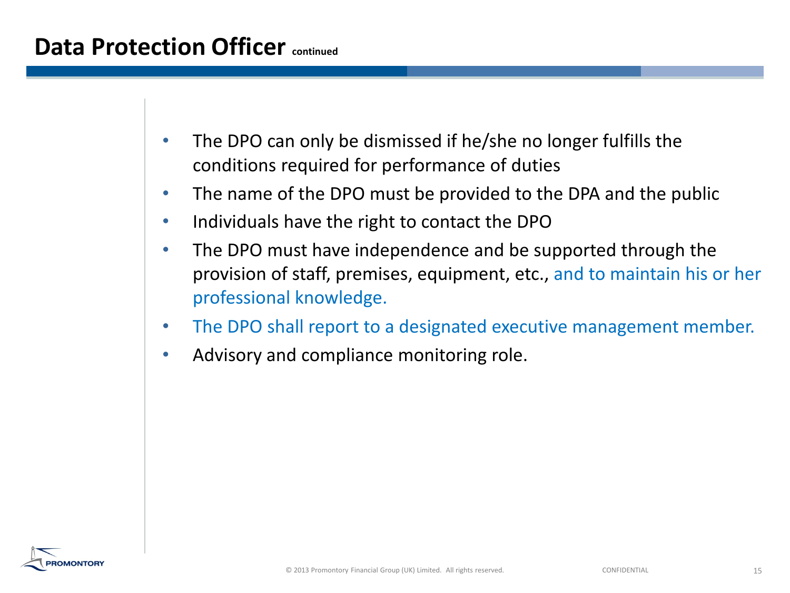- The DPO can only be dismissed if he/she no longer fulfills the conditions required for performance of duties
- The name of the DPO must be provided to the DPA and the public
- Individuals have the right to contact the DPO
- The DPO must have independence and be supported through the provision of staff, premises, equipment, etc., and to maintain his or her professional knowledge.
- The DPO shall report to a designated executive management member.
- Advisory and compliance monitoring role.

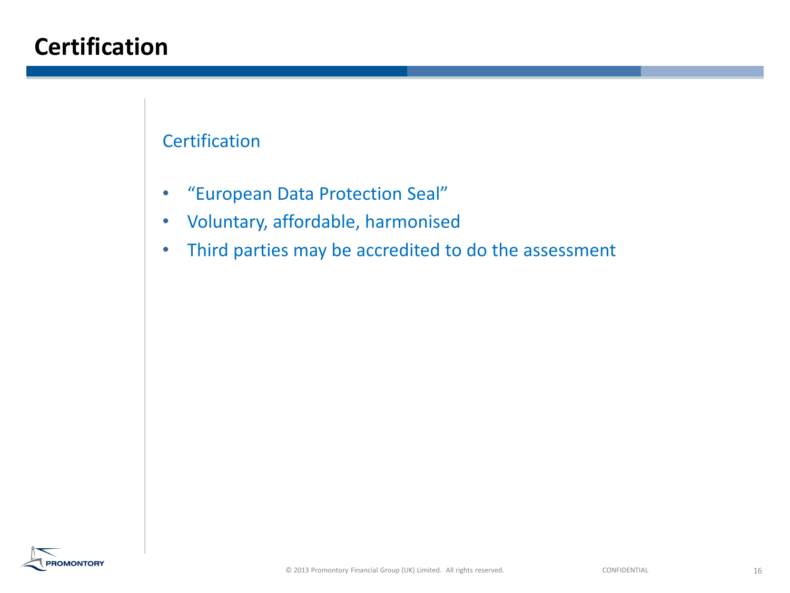# **Certification**

#### **Certification**

- "European Data Protection Seal"
- Voluntary, affordable, harmonised
- Third parties may be accredited to do the assessment

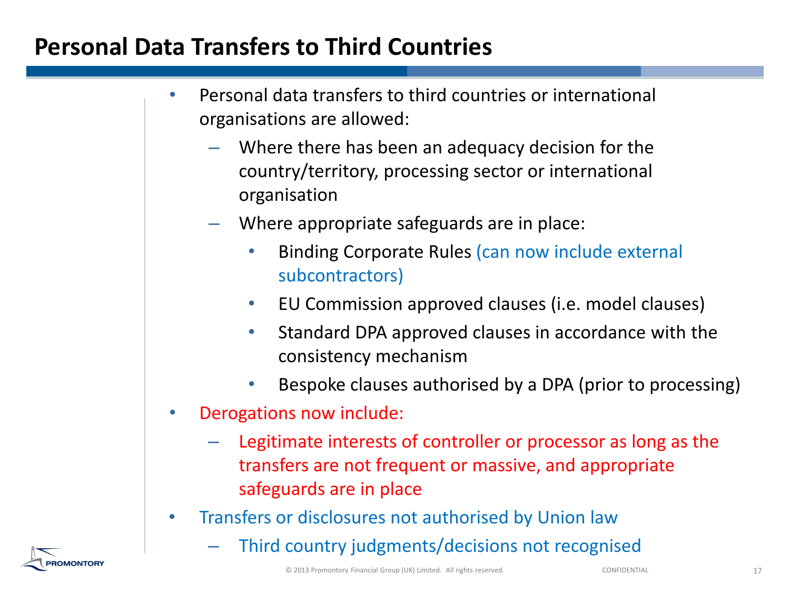# **Personal Data Transfers to Third Countries**

- Personal data transfers to third countries or international organisations are allowed:
	- Where there has been an adequacy decision for the country/territory, processing sector or international organisation
	- Where appropriate safeguards are in place:
		- Binding Corporate Rules (can now include external subcontractors)
		- EU Commission approved clauses (i.e. model clauses)
		- Standard DPA approved clauses in accordance with the consistency"mechanism
		- Bespoke clauses authorised by a DPA (prior to processing)
- **Derogations now include:** 
	- Legitimate interests of controller or processor as long as the transfers are not frequent or massive, and appropriate safeguards are in place
- Transfers or disclosures not authorised by Union law
	- Third country judgments/decisions not recognised

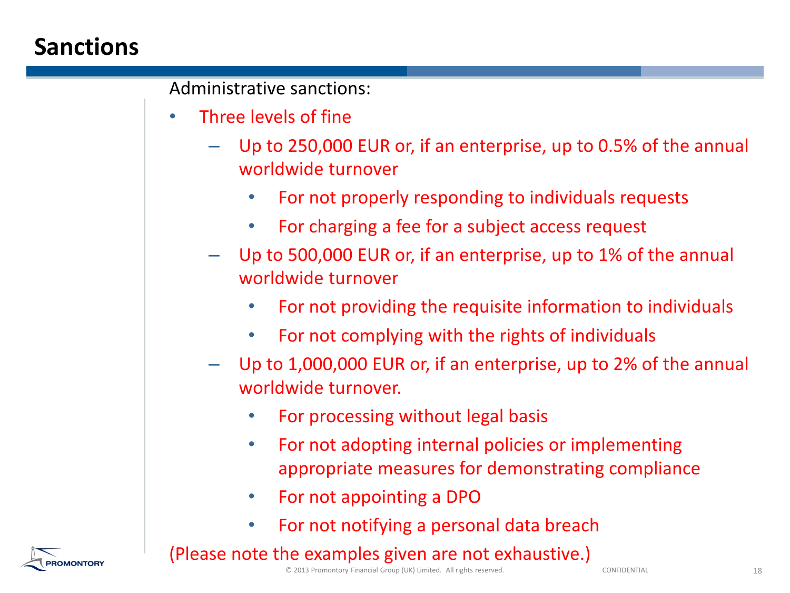# **Sanctions**

Administrative sanctions:

- Three levels of fine
	- Up to 250,000 EUR or, if an enterprise, up to 0.5% of the annual worldwide turnover
		- For not properly responding to individuals requests
		- For charging a fee for a subject access request
	- Up to  $500,000$  EUR or, if an enterprise, up to 1% of the annual worldwide turnover
		- For not providing the requisite information to individuals
		- For not complying with the rights of individuals
	- Up to 1,000,000 EUR or, if an enterprise, up to 2% of the annual worldwide turnover.
		- For processing without legal basis
		- For not adopting internal policies or implementing appropriate measures for demonstrating compliance
		- For not appointing a DPO
		- For not notifying a personal data breach

#### (Please note the examples given are not exhaustive.)

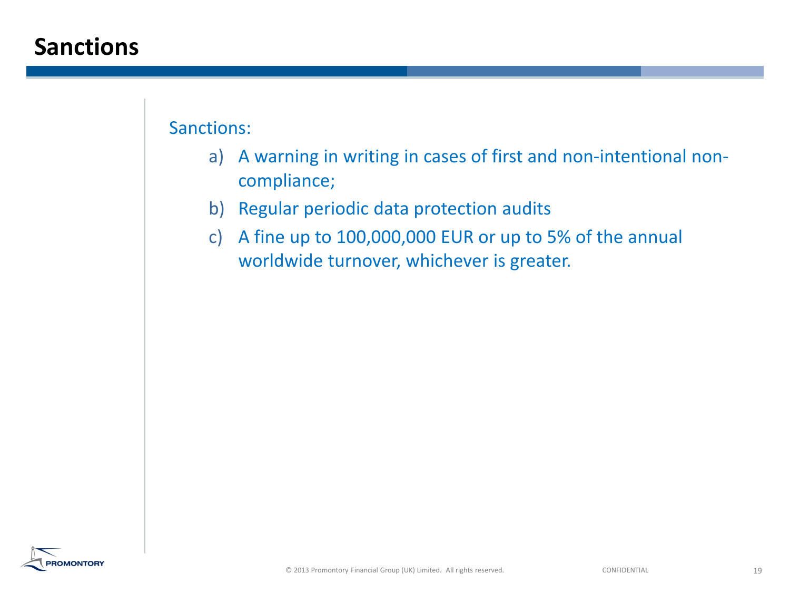#### **Sanctions**

Sanctions:

- a) A warning in writing in cases of first and non-intentional noncompliance;
- b) Regular periodic data protection audits
- c) A fine up to  $100,000,000$  EUR or up to 5% of the annual worldwide turnover, whichever is greater.